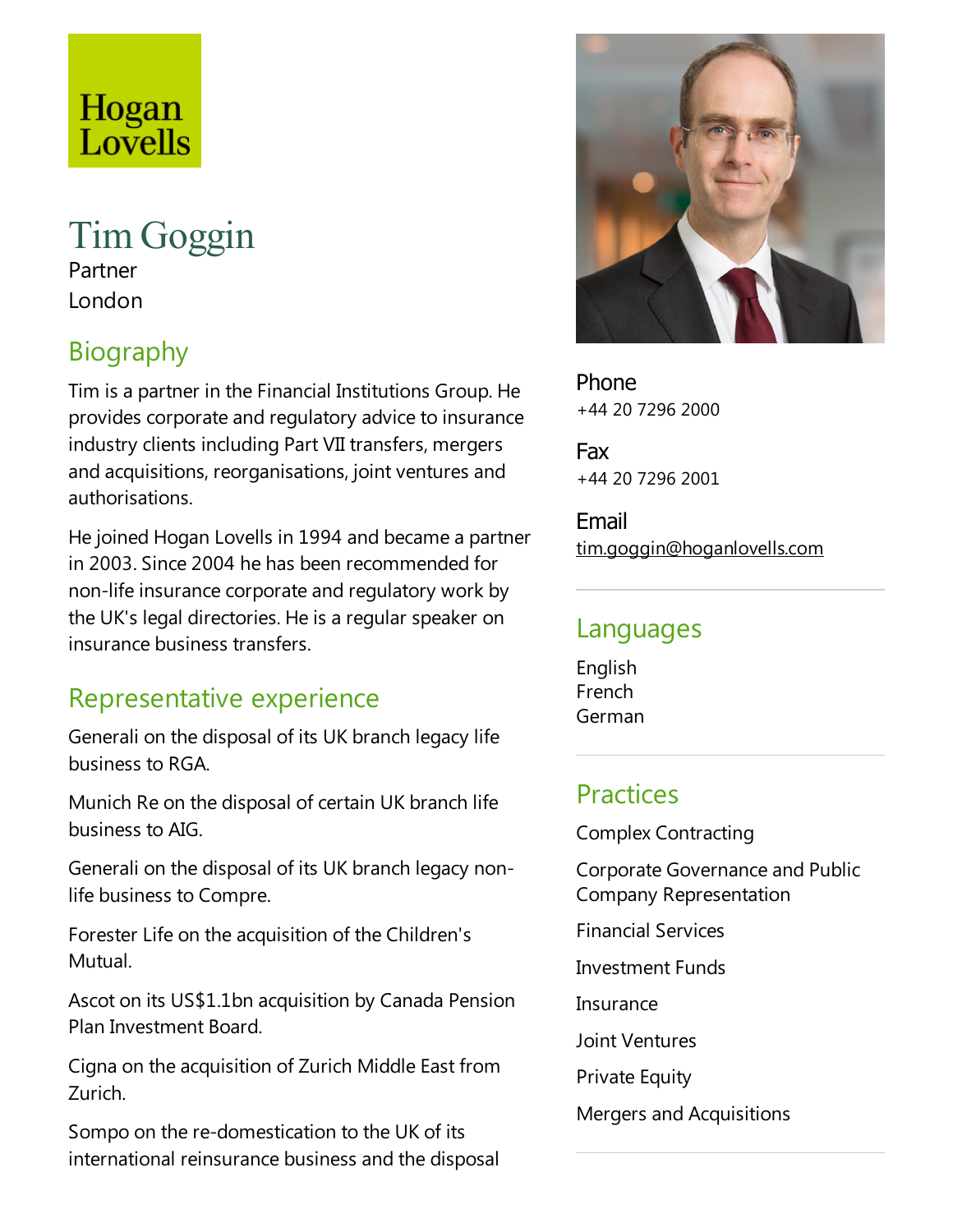## Hogan Lovells

# TimGoggin

Partner London

## Biography

Tim is a partner in the Financial Institutions Group. He provides corporate and regulatory advice to insurance industry clients including Part VII transfers, mergers and acquisitions, reorganisations, joint ventures and authorisations.

He joined Hogan Lovells in 1994 and became a partner in 2003. Since 2004 he has been recommended for non-life insurance corporate and regulatory work by the UK's legal directories. He is a regular speaker on insurance business transfers.

#### Representative experience

Generali on the disposal of its UK branch legacy life business to RGA.

Munich Re on the disposal of certain UK branch life business to AIG.

Generali on the disposal of its UK branch legacy nonlife business to Compre.

Forester Life on the acquisition of the Children's Mutual.

Ascot on its US\$1.1bn acquisition by Canada Pension Plan Investment Board.

Cigna on the acquisition of Zurich Middle East from Zurich.

Sompo on the re-domestication to the UK of its international reinsurance business and the disposal



Phone +44 20 7296 2000

Fax +44 20 7296 2001

Email tim.goggin@hoganlovells.com

#### Languages

English French German

#### **Practices**

Complex Contracting

Corporate Governance and Public Company Representation

Financial Services

**Investment Funds** 

**Insurance** 

Joint Ventures

**Private Equity** 

Mergers and Acquisitions